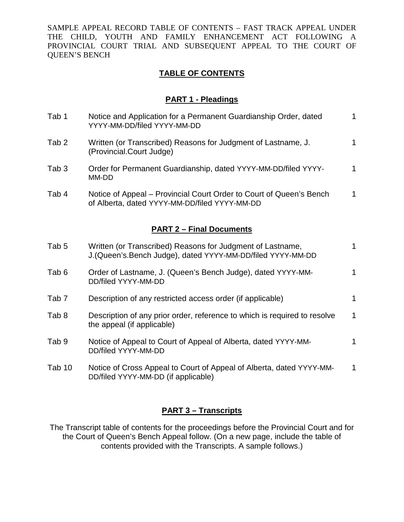SAMPLE APPEAL RECORD TABLE OF CONTENTS – FAST TRACK APPEAL UNDER THE CHILD, YOUTH AND FAMILY ENHANCEMENT ACT FOLLOWING A PROVINCIAL COURT TRIAL AND SUBSEQUENT APPEAL TO THE COURT OF QUEEN'S BENCH

# **TABLE OF CONTENTS**

### **PART 1 - Pleadings**

| Tab 1                           | Notice and Application for a Permanent Guardianship Order, dated<br>YYYY-MM-DD/filed YYYY-MM-DD                           | $\mathbf{1}$ |  |  |  |
|---------------------------------|---------------------------------------------------------------------------------------------------------------------------|--------------|--|--|--|
| Tab <sub>2</sub>                | Written (or Transcribed) Reasons for Judgment of Lastname, J.<br>(Provincial.Court Judge)                                 | $\mathbf{1}$ |  |  |  |
| Tab <sub>3</sub>                | Order for Permanent Guardianship, dated YYYY-MM-DD/filed YYYY-<br>MM-DD                                                   | $\mathbf{1}$ |  |  |  |
| Tab 4                           | Notice of Appeal – Provincial Court Order to Court of Queen's Bench<br>of Alberta, dated YYYY-MM-DD/filed YYYY-MM-DD      | $\mathbf 1$  |  |  |  |
| <b>PART 2 - Final Documents</b> |                                                                                                                           |              |  |  |  |
| Tab <sub>5</sub>                | Written (or Transcribed) Reasons for Judgment of Lastname,<br>J. (Queen's Bench Judge), dated YYYY-MM-DD/filed YYYY-MM-DD | $\mathbf 1$  |  |  |  |
| Tab <sub>6</sub>                | Order of Lastname, J. (Queen's Bench Judge), dated YYYY-MM-<br>DD/filed YYYY-MM-DD                                        | $\mathbf 1$  |  |  |  |
| Tab <sub>7</sub>                | Description of any restricted access order (if applicable)                                                                | 1            |  |  |  |
| Tab <sub>8</sub>                | Description of any prior order, reference to which is required to resolve<br>the appeal (if applicable)                   | $\mathbf 1$  |  |  |  |
| Tab <sub>9</sub>                | Notice of Appeal to Court of Appeal of Alberta, dated YYYY-MM-<br>DD/filed YYYY-MM-DD                                     | 1            |  |  |  |
| Tab 10                          | Notice of Cross Appeal to Court of Appeal of Alberta, dated YYYY-MM-<br>DD/filed YYYY-MM-DD (if applicable)               | 1            |  |  |  |
|                                 |                                                                                                                           |              |  |  |  |

# **PART 3 – Transcripts**

The Transcript table of contents for the proceedings before the Provincial Court and for the Court of Queen's Bench Appeal follow. (On a new page, include the table of contents provided with the Transcripts. A sample follows.)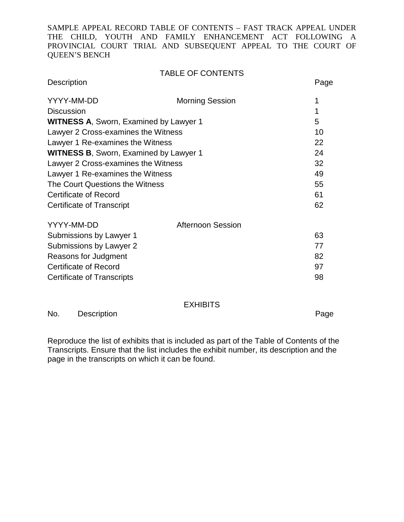SAMPLE APPEAL RECORD TABLE OF CONTENTS – FAST TRACK APPEAL UNDER THE CHILD, YOUTH AND FAMILY ENHANCEMENT ACT FOLLOWING A PROVINCIAL COURT TRIAL AND SUBSEQUENT APPEAL TO THE COURT OF QUEEN'S BENCH

## TABLE OF CONTENTS

| <b>Description</b>                            |                          | Page |
|-----------------------------------------------|--------------------------|------|
| YYYY-MM-DD                                    | <b>Morning Session</b>   | 1    |
| <b>Discussion</b>                             |                          | 1    |
| <b>WITNESS A, Sworn, Examined by Lawyer 1</b> | 5                        |      |
| Lawyer 2 Cross-examines the Witness           | 10                       |      |
| Lawyer 1 Re-examines the Witness              | 22                       |      |
| <b>WITNESS B, Sworn, Examined by Lawyer 1</b> | 24                       |      |
| Lawyer 2 Cross-examines the Witness           | 32                       |      |
| Lawyer 1 Re-examines the Witness              | 49                       |      |
| The Court Questions the Witness               | 55                       |      |
| Certificate of Record                         |                          | 61   |
| Certificate of Transcript                     |                          | 62   |
| YYYY-MM-DD                                    | <b>Afternoon Session</b> |      |
| Submissions by Lawyer 1                       |                          | 63   |
| Submissions by Lawyer 2                       |                          | 77   |
| Reasons for Judgment                          |                          | 82   |
| Certificate of Record                         |                          | 97   |
| Certificate of Transcripts                    |                          | 98   |
|                                               |                          |      |

#### EXHIBITS

No. Description **Page** 

Reproduce the list of exhibits that is included as part of the Table of Contents of the Transcripts. Ensure that the list includes the exhibit number, its description and the page in the transcripts on which it can be found.